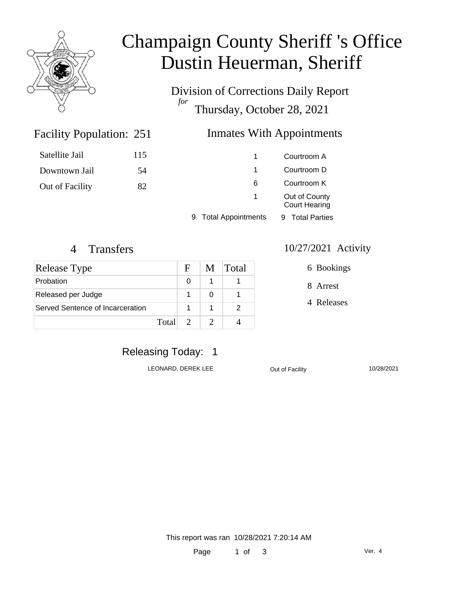

# Champaign County Sheriff 's Office Dustin Heuerman, Sheriff

Division of Corrections Daily Report *for* Thursday, October 28, 2021

### Inmates With Appointments

| Satellite Jail  | 115 |                           | Courtroom A                           |  |
|-----------------|-----|---------------------------|---------------------------------------|--|
| Downtown Jail   | 54  |                           | Courtroom D                           |  |
| Out of Facility | 82  | 6                         | Courtroom K                           |  |
|                 |     | 1                         | Out of County<br><b>Court Hearing</b> |  |
|                 |     | <b>Total Appointments</b> | <b>Total Parties</b><br>9.            |  |

Facility Population: 251

| Release Type                     |         | $\mathbf{F}$ | M | <b>Total</b> |
|----------------------------------|---------|--------------|---|--------------|
| Probation                        |         | O            |   |              |
| Released per Judge               |         |              |   |              |
| Served Sentence of Incarceration |         |              |   |              |
|                                  | Total L |              |   |              |

#### 4 Transfers 10/27/2021 Activity

6 Bookings

8 Arrest

4 Releases

# Releasing Today: 1

LEONARD, DEREK LEE **Out of Facility** 10/28/2021

This report was ran 10/28/2021 7:20:14 AM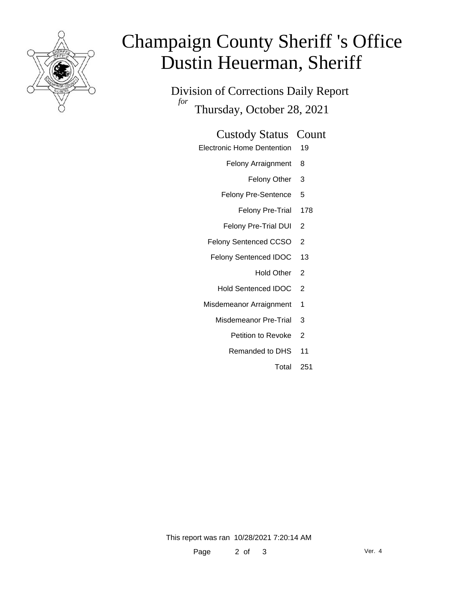

# Champaign County Sheriff 's Office Dustin Heuerman, Sheriff

Division of Corrections Daily Report *for* Thursday, October 28, 2021

#### Custody Status Count

- Electronic Home Dentention 19
	- Felony Arraignment 8
		- Felony Other 3
	- Felony Pre-Sentence 5
		- Felony Pre-Trial 178
	- Felony Pre-Trial DUI 2
	- Felony Sentenced CCSO 2
	- Felony Sentenced IDOC 13
		- Hold Other 2
		- Hold Sentenced IDOC 2
	- Misdemeanor Arraignment 1
		- Misdemeanor Pre-Trial 3
			- Petition to Revoke 2
			- Remanded to DHS 11
				- Total 251

This report was ran 10/28/2021 7:20:14 AM